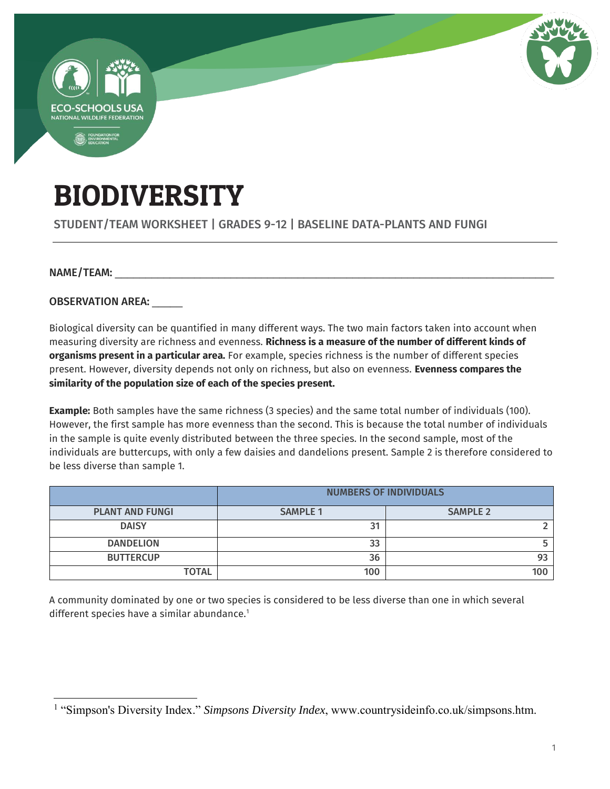

# BIODIVERSITY

### STUDENT/TEAM WORKSHEET | GRADES 9-12 | BASELINE DATA-PLANTS AND FUNGI

#### NAME/TEAM:

 $\overline{a}$ 

OBSERVATION AREA:

Biological diversity can be quantified in many different ways. The two main factors taken into account when measuring diversity are richness and evenness. **Richness is a measure of the number of different kinds of organisms present in a particular area.** For example, species richness is the number of different species present. However, diversity depends not only on richness, but also on evenness. **Evenness compares the similarity of the population size of each of the species present.** 

**Example:** Both samples have the same richness (3 species) and the same total number of individuals (100). However, the first sample has more evenness than the second. This is because the total number of individuals in the sample is quite evenly distributed between the three species. In the second sample, most of the individuals are buttercups, with only a few daisies and dandelions present. Sample 2 is therefore considered to be less diverse than sample 1.

|                        | <b>NUMBERS OF INDIVIDUALS</b> |                 |  |
|------------------------|-------------------------------|-----------------|--|
| <b>PLANT AND FUNGI</b> | <b>SAMPLE 1</b>               | <b>SAMPLE 2</b> |  |
| <b>DAISY</b>           | 31                            |                 |  |
| <b>DANDELION</b>       | 33                            |                 |  |
| <b>BUTTERCUP</b>       | 36                            |                 |  |
| <b>TOTAL</b>           | 100                           | 100             |  |

A community dominated by one or two species is considered to be less diverse than one in which several different species have a similar abundance.<sup>1</sup>

<sup>&</sup>lt;sup>1</sup> "Simpson's Diversity Index." *Simpsons Diversity Index*, www.countrysideinfo.co.uk/simpsons.htm.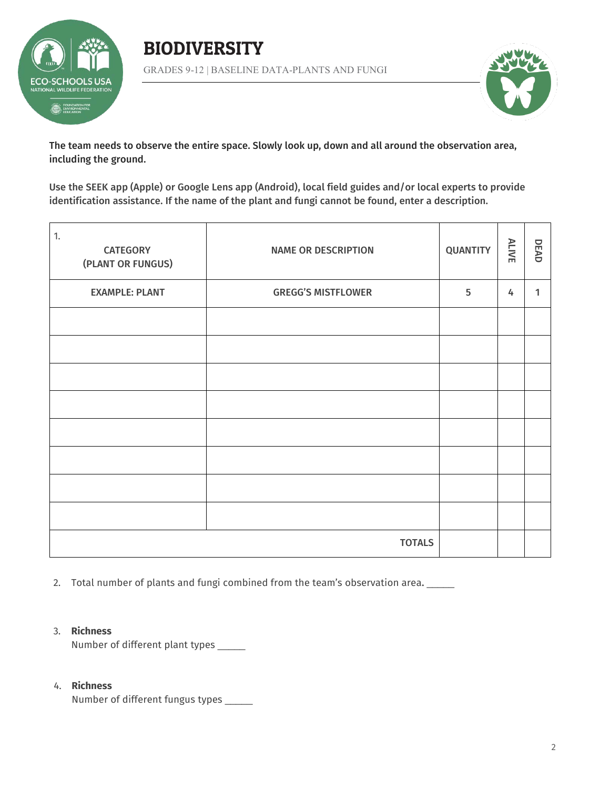

## BIODIVERSITY GRADES 9-12 | BASELINE DATA-PLANTS AND FUNGI



The team needs to observe the entire space. Slowly look up, down and all around the observation area, including the ground.

Use the SEEK app (Apple) or Google Lens app (Android), local field guides and/or local experts to provide identification assistance. If the name of the plant and fungi cannot be found, enter a description.

| $\overline{1}$ .<br><b>CATEGORY</b><br>(PLANT OR FUNGUS) | <b>NAME OR DESCRIPTION</b> | <b>QUANTITY</b> | <b>ALIVE</b> | DEAD |
|----------------------------------------------------------|----------------------------|-----------------|--------------|------|
| <b>EXAMPLE: PLANT</b>                                    | <b>GREGG'S MISTFLOWER</b>  | 5               | 4            | 1    |
|                                                          |                            |                 |              |      |
|                                                          |                            |                 |              |      |
|                                                          |                            |                 |              |      |
|                                                          |                            |                 |              |      |
|                                                          |                            |                 |              |      |
|                                                          |                            |                 |              |      |
|                                                          |                            |                 |              |      |
|                                                          |                            |                 |              |      |
|                                                          | <b>TOTALS</b>              |                 |              |      |

2. Total number of plants and fungi combined from the team's observation area.

#### 3. **Richness**

Number of different plant types \_\_\_\_\_\_

#### 4. **Richness**

Number of different fungus types \_\_\_\_\_